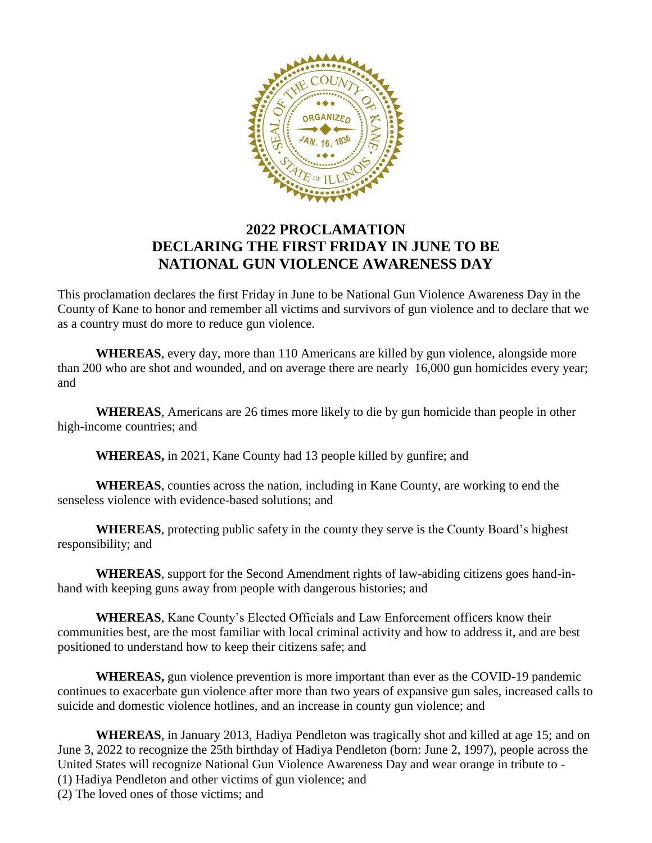

## **2022 PROCLAMATION DECLARING THE FIRST FRIDAY IN JUNE TO BE NATIONAL GUN VIOLENCE AWARENESS DAY**

This proclamation declares the first Friday in June to be National Gun Violence Awareness Day in the County of Kane to honor and remember all victims and survivors of gun violence and to declare that we as a country must do more to reduce gun violence.

**WHEREAS**, every day, more than 110 Americans are killed by gun violence, alongside more than 200 who are shot and wounded, and on average there are nearly 16,000 gun homicides every year; and

**WHEREAS**, Americans are 26 times more likely to die by gun homicide than people in other high-income countries; and

**WHEREAS,** in 2021, Kane County had 13 people killed by gunfire; and

**WHEREAS**, counties across the nation, including in Kane County, are working to end the senseless violence with evidence-based solutions; and

**WHEREAS**, protecting public safety in the county they serve is the County Board's highest responsibility; and

**WHEREAS**, support for the Second Amendment rights of law-abiding citizens goes hand-inhand with keeping guns away from people with dangerous histories; and

**WHEREAS**, Kane County's Elected Officials and Law Enforcement officers know their communities best, are the most familiar with local criminal activity and how to address it, and are best positioned to understand how to keep their citizens safe; and

**WHEREAS,** gun violence prevention is more important than ever as the COVID-19 pandemic continues to exacerbate gun violence after more than two years of expansive gun sales, increased calls to suicide and domestic violence hotlines, and an increase in county gun violence; and

**WHEREAS**, in January 2013, Hadiya Pendleton was tragically shot and killed at age 15; and on June 3, 2022 to recognize the 25th birthday of Hadiya Pendleton (born: June 2, 1997), people across the United States will recognize National Gun Violence Awareness Day and wear orange in tribute to - (1) Hadiya Pendleton and other victims of gun violence; and

(2) The loved ones of those victims; and